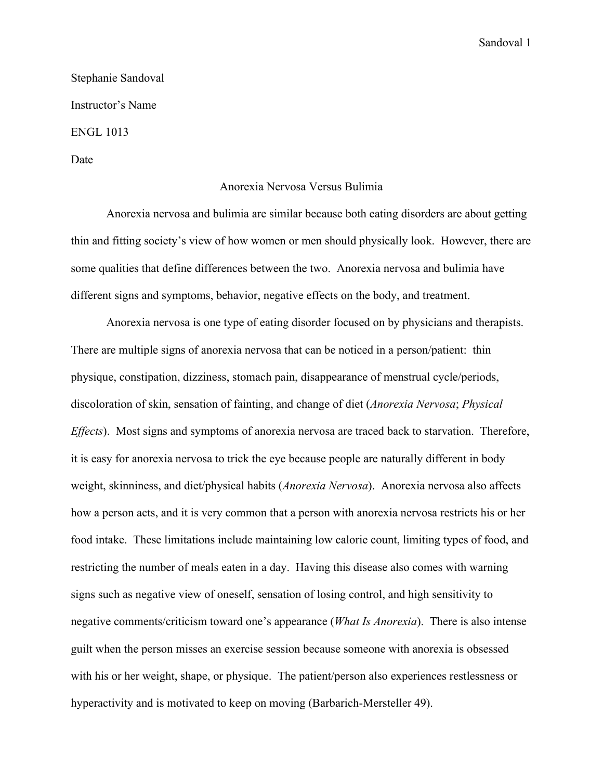Stephanie Sandoval Instructor's Name ENGL 1013

Date

## Anorexia Nervosa Versus Bulimia

Anorexia nervosa and bulimia are similar because both eating disorders are about getting thin and fitting society's view of how women or men should physically look. However, there are some qualities that define differences between the two. Anorexia nervosa and bulimia have different signs and symptoms, behavior, negative effects on the body, and treatment.

Anorexia nervosa is one type of eating disorder focused on by physicians and therapists. There are multiple signs of anorexia nervosa that can be noticed in a person/patient: thin physique, constipation, dizziness, stomach pain, disappearance of menstrual cycle/periods, discoloration of skin, sensation of fainting, and change of diet (*Anorexia Nervosa*; *Physical Effects*). Most signs and symptoms of anorexia nervosa are traced back to starvation. Therefore, it is easy for anorexia nervosa to trick the eye because people are naturally different in body weight, skinniness, and diet/physical habits (*Anorexia Nervosa*). Anorexia nervosa also affects how a person acts, and it is very common that a person with anorexia nervosa restricts his or her food intake. These limitations include maintaining low calorie count, limiting types of food, and restricting the number of meals eaten in a day. Having this disease also comes with warning signs such as negative view of oneself, sensation of losing control, and high sensitivity to negative comments/criticism toward one's appearance (*What Is Anorexia*). There is also intense guilt when the person misses an exercise session because someone with anorexia is obsessed with his or her weight, shape, or physique. The patient/person also experiences restlessness or hyperactivity and is motivated to keep on moving (Barbarich-Mersteller 49).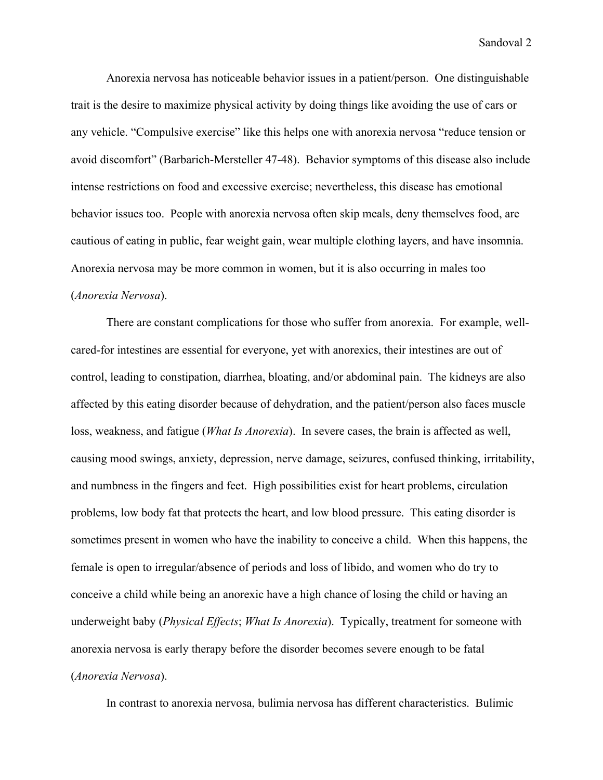Anorexia nervosa has noticeable behavior issues in a patient/person. One distinguishable trait is the desire to maximize physical activity by doing things like avoiding the use of cars or any vehicle. "Compulsive exercise" like this helps one with anorexia nervosa "reduce tension or avoid discomfort" (Barbarich-Mersteller 47-48). Behavior symptoms of this disease also include intense restrictions on food and excessive exercise; nevertheless, this disease has emotional behavior issues too. People with anorexia nervosa often skip meals, deny themselves food, are cautious of eating in public, fear weight gain, wear multiple clothing layers, and have insomnia. Anorexia nervosa may be more common in women, but it is also occurring in males too (*Anorexia Nervosa*).

There are constant complications for those who suffer from anorexia. For example, wellcared-for intestines are essential for everyone, yet with anorexics, their intestines are out of control, leading to constipation, diarrhea, bloating, and/or abdominal pain. The kidneys are also affected by this eating disorder because of dehydration, and the patient/person also faces muscle loss, weakness, and fatigue (*What Is Anorexia*). In severe cases, the brain is affected as well, causing mood swings, anxiety, depression, nerve damage, seizures, confused thinking, irritability, and numbness in the fingers and feet. High possibilities exist for heart problems, circulation problems, low body fat that protects the heart, and low blood pressure. This eating disorder is sometimes present in women who have the inability to conceive a child. When this happens, the female is open to irregular/absence of periods and loss of libido, and women who do try to conceive a child while being an anorexic have a high chance of losing the child or having an underweight baby (*Physical Effects*; *What Is Anorexia*). Typically, treatment for someone with anorexia nervosa is early therapy before the disorder becomes severe enough to be fatal (*Anorexia Nervosa*).

In contrast to anorexia nervosa, bulimia nervosa has different characteristics. Bulimic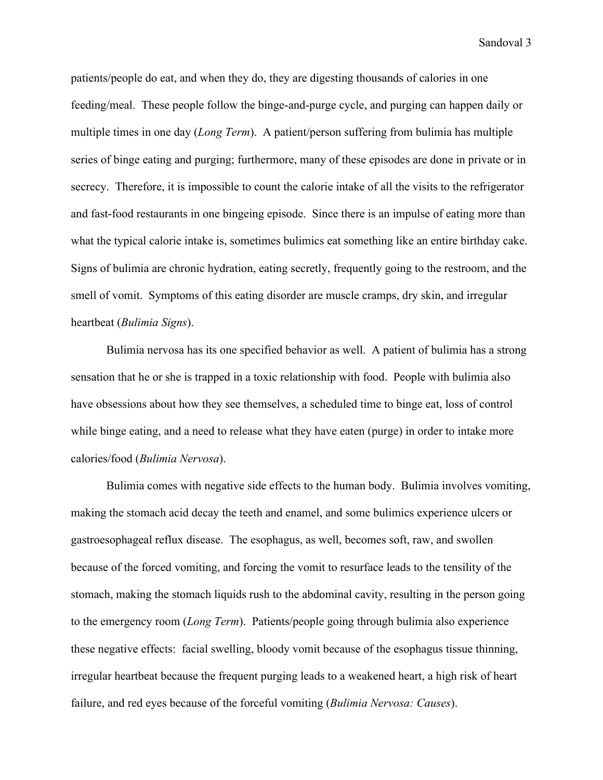patients/people do eat, and when they do, they are digesting thousands of calories in one feeding/meal. These people follow the binge-and-purge cycle, and purging can happen daily or multiple times in one day (*Long Term*). A patient/person suffering from bulimia has multiple series of binge eating and purging; furthermore, many of these episodes are done in private or in secrecy. Therefore, it is impossible to count the calorie intake of all the visits to the refrigerator and fast-food restaurants in one bingeing episode. Since there is an impulse of eating more than what the typical calorie intake is, sometimes bulimics eat something like an entire birthday cake. Signs of bulimia are chronic hydration, eating secretly, frequently going to the restroom, and the smell of vomit. Symptoms of this eating disorder are muscle cramps, dry skin, and irregular heartbeat (*Bulimia Signs*).

Bulimia nervosa has its one specified behavior as well. A patient of bulimia has a strong sensation that he or she is trapped in a toxic relationship with food. People with bulimia also have obsessions about how they see themselves, a scheduled time to binge eat, loss of control while binge eating, and a need to release what they have eaten (purge) in order to intake more calories/food (*Bulimia Nervosa*).

Bulimia comes with negative side effects to the human body. Bulimia involves vomiting, making the stomach acid decay the teeth and enamel, and some bulimics experience ulcers or gastroesophageal reflux disease. The esophagus, as well, becomes soft, raw, and swollen because of the forced vomiting, and forcing the vomit to resurface leads to the tensility of the stomach, making the stomach liquids rush to the abdominal cavity, resulting in the person going to the emergency room (*Long Term*). Patients/people going through bulimia also experience these negative effects: facial swelling, bloody vomit because of the esophagus tissue thinning, irregular heartbeat because the frequent purging leads to a weakened heart, a high risk of heart failure, and red eyes because of the forceful vomiting (*Bulimia Nervosa: Causes*).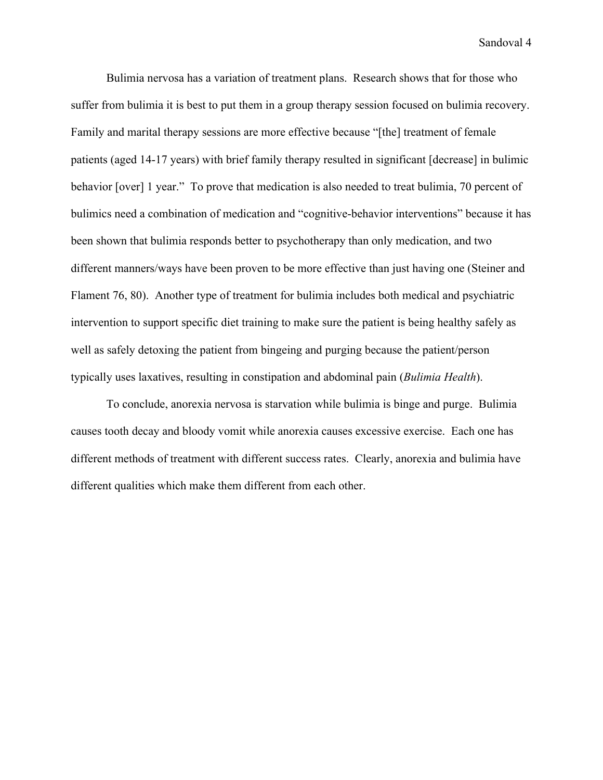Bulimia nervosa has a variation of treatment plans. Research shows that for those who suffer from bulimia it is best to put them in a group therapy session focused on bulimia recovery. Family and marital therapy sessions are more effective because "[the] treatment of female patients (aged 14-17 years) with brief family therapy resulted in significant [decrease] in bulimic behavior [over] 1 year." To prove that medication is also needed to treat bulimia, 70 percent of bulimics need a combination of medication and "cognitive-behavior interventions" because it has been shown that bulimia responds better to psychotherapy than only medication, and two different manners/ways have been proven to be more effective than just having one (Steiner and Flament 76, 80). Another type of treatment for bulimia includes both medical and psychiatric intervention to support specific diet training to make sure the patient is being healthy safely as well as safely detoxing the patient from bingeing and purging because the patient/person typically uses laxatives, resulting in constipation and abdominal pain (*Bulimia Health*).

To conclude, anorexia nervosa is starvation while bulimia is binge and purge. Bulimia causes tooth decay and bloody vomit while anorexia causes excessive exercise. Each one has different methods of treatment with different success rates. Clearly, anorexia and bulimia have different qualities which make them different from each other.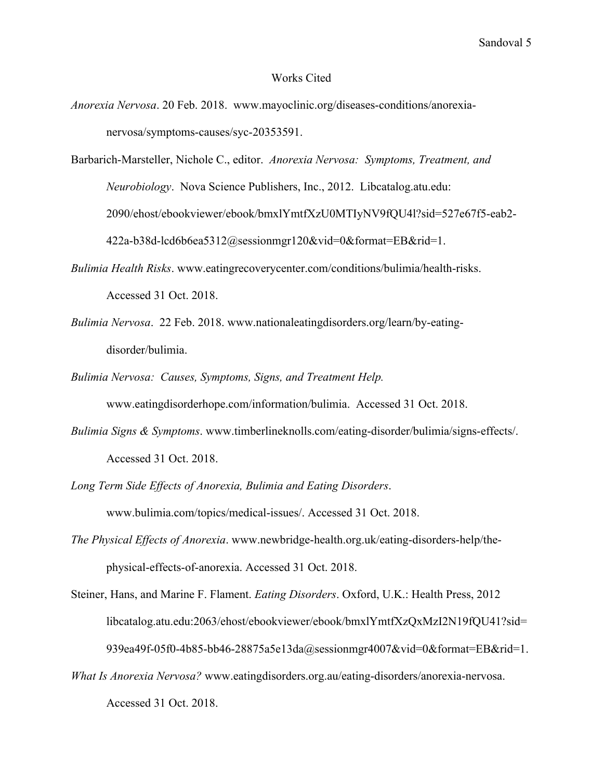## Works Cited

- *Anorexia Nervosa*. 20 Feb. 2018. www.mayoclinic.org/diseases-conditions/anorexianervosa/symptoms-causes/syc-20353591.
- Barbarich-Marsteller, Nichole C., editor. *Anorexia Nervosa: Symptoms, Treatment, and Neurobiology*. Nova Science Publishers, Inc., 2012. Libcatalog.atu.edu: 2090/ehost/ebookviewer/ebook/bmxlYmtfXzU0MTIyNV9fQU4l?sid=527e67f5-eab2- 422a-b38d-lcd6b6ea5312@sessionmgr120&vid=0&format=EB&rid=1.
- *Bulimia Health Risks*. www.eatingrecoverycenter.com/conditions/bulimia/health-risks. Accessed 31 Oct. 2018.
- *Bulimia Nervosa*. 22 Feb. 2018. www.nationaleatingdisorders.org/learn/by-eatingdisorder/bulimia.
- *Bulimia Nervosa: Causes, Symptoms, Signs, and Treatment Help.* www.eatingdisorderhope.com/information/bulimia. Accessed 31 Oct. 2018.
- *Bulimia Signs & Symptoms*. www.timberlineknolls.com/eating-disorder/bulimia/signs-effects/. Accessed 31 Oct. 2018.
- *Long Term Side Effects of Anorexia, Bulimia and Eating Disorders*. www.bulimia.com/topics/medical-issues/. Accessed 31 Oct. 2018.
- *The Physical Effects of Anorexia*. www.newbridge-health.org.uk/eating-disorders-help/thephysical-effects-of-anorexia. Accessed 31 Oct. 2018.

Steiner, Hans, and Marine F. Flament. *Eating Disorders*. Oxford, U.K.: Health Press, 2012 libcatalog.atu.edu:2063/ehost/ebookviewer/ebook/bmxlYmtfXzQxMzI2N19fQU41?sid= 939ea49f-05f0-4b85-bb46-28875a5e13da@sessionmgr4007&vid=0&format=EB&rid=1.

*What Is Anorexia Nervosa?* www.eatingdisorders.org.au/eating-disorders/anorexia-nervosa. Accessed 31 Oct. 2018.